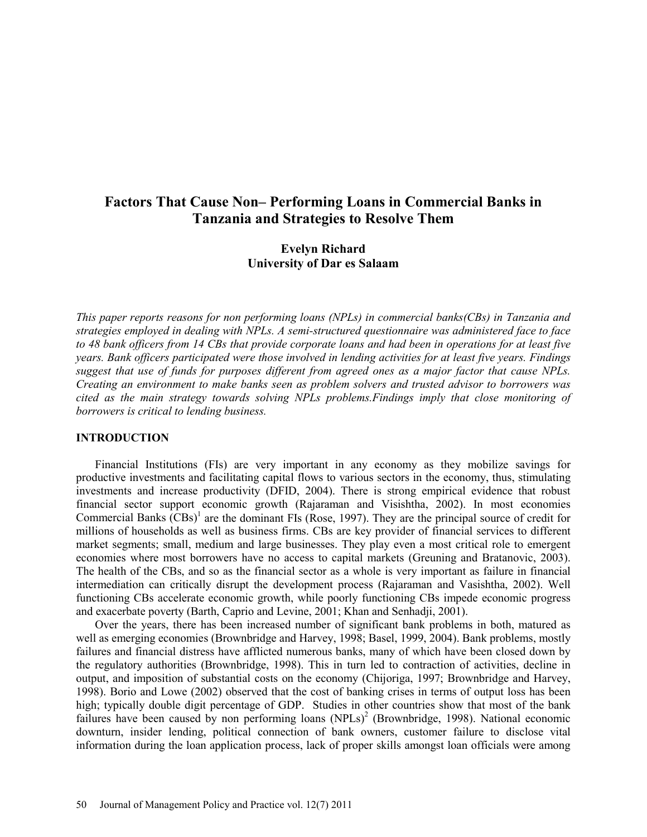# **Factors That Cause Non– Performing Loans in Commercial Banks in Tanzania and Strategies to Resolve Them**

## **Evelyn Richard University of Dar es Salaam**

*This paper reports reasons for non performing loans (NPLs) in commercial banks(CBs) in Tanzania and strategies employed in dealing with NPLs. A semi-structured questionnaire was administered face to face to 48 bank officers from 14 CBs that provide corporate loans and had been in operations for at least five years. Bank officers participated were those involved in lending activities for at least five years. Findings suggest that use of funds for purposes different from agreed ones as a major factor that cause NPLs. Creating an environment to make banks seen as problem solvers and trusted advisor to borrowers was cited as the main strategy towards solving NPLs problems.Findings imply that close monitoring of borrowers is critical to lending business.*

#### **INTRODUCTION**

Financial Institutions (FIs) are very important in any economy as they mobilize savings for productive investments and facilitating capital flows to various sectors in the economy, thus, stimulating investments and increase productivity (DFID, 2004). There is strong empirical evidence that robust financial sector support economic growth (Rajaraman and Visishtha, 2002). In most economies Commercial Banks  $(CBs)^1$  are the dominant FIs (Rose, 1997). They are the principal source of credit for millions of households as well as business firms. CBs are key provider of financial services to different market segments; small, medium and large businesses. They play even a most critical role to emergent economies where most borrowers have no access to capital markets (Greuning and Bratanovic, 2003). The health of the CBs, and so as the financial sector as a whole is very important as failure in financial intermediation can critically disrupt the development process (Rajaraman and Vasishtha, 2002). Well functioning CBs accelerate economic growth, while poorly functioning CBs impede economic progress and exacerbate poverty (Barth, Caprio and Levine, 2001; Khan and Senhadji, 2001).

Over the years, there has been increased number of significant bank problems in both, matured as well as emerging economies (Brownbridge and Harvey, 1998; Basel, 1999, 2004). Bank problems, mostly failures and financial distress have afflicted numerous banks, many of which have been closed down by the regulatory authorities (Brownbridge, 1998). This in turn led to contraction of activities, decline in output, and imposition of substantial costs on the economy (Chijoriga, 1997; Brownbridge and Harvey, 1998). Borio and Lowe (2002) observed that the cost of banking crises in terms of output loss has been high; typically double digit percentage of GDP. Studies in other countries show that most of the bank failures have been caused by non performing loans (NPLs)<sup>2</sup> (Brownbridge, 1998). National economic downturn, insider lending, political connection of bank owners, customer failure to disclose vital information during the loan application process, lack of proper skills amongst loan officials were among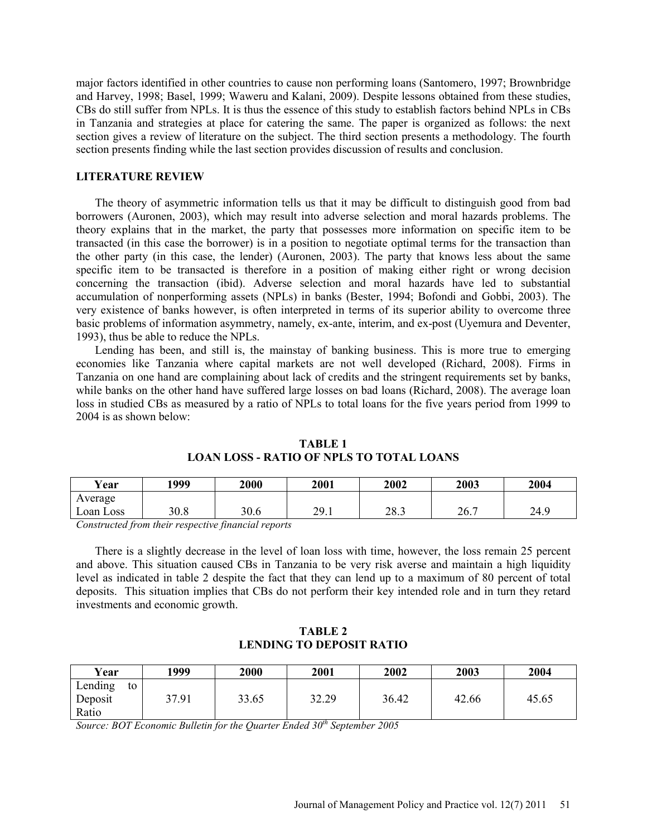major factors identified in other countries to cause non performing loans (Santomero, 1997; Brownbridge and Harvey, 1998; Basel, 1999; Waweru and Kalani, 2009). Despite lessons obtained from these studies, CBs do still suffer from NPLs. It is thus the essence of this study to establish factors behind NPLs in CBs in Tanzania and strategies at place for catering the same. The paper is organized as follows: the next section gives a review of literature on the subject. The third section presents a methodology. The fourth section presents finding while the last section provides discussion of results and conclusion.

#### **LITERATURE REVIEW**

The theory of asymmetric information tells us that it may be difficult to distinguish good from bad borrowers (Auronen, 2003), which may result into adverse selection and moral hazards problems. The theory explains that in the market, the party that possesses more information on specific item to be transacted (in this case the borrower) is in a position to negotiate optimal terms for the transaction than the other party (in this case, the lender) (Auronen, 2003). The party that knows less about the same specific item to be transacted is therefore in a position of making either right or wrong decision concerning the transaction (ibid). Adverse selection and moral hazards have led to substantial accumulation of nonperforming assets (NPLs) in banks (Bester, 1994; Bofondi and Gobbi, 2003). The very existence of banks however, is often interpreted in terms of its superior ability to overcome three basic problems of information asymmetry, namely, ex-ante, interim, and ex-post (Uyemura and Deventer, 1993), thus be able to reduce the NPLs.

Lending has been, and still is, the mainstay of banking business. This is more true to emerging economies like Tanzania where capital markets are not well developed (Richard, 2008). Firms in Tanzania on one hand are complaining about lack of credits and the stringent requirements set by banks, while banks on the other hand have suffered large losses on bad loans (Richard, 2008). The average loan loss in studied CBs as measured by a ratio of NPLs to total loans for the five years period from 1999 to 2004 is as shown below:

| Year      | 1999 | 2000 | 2001                   | 2002 | 2003                        | 2004 |
|-----------|------|------|------------------------|------|-----------------------------|------|
| Average   |      |      |                        |      |                             |      |
| Loan Loss | 30.8 | 30.6 | 20 <sup>1</sup><br>2,1 | 28.3 | $\sim$ $\sim$ $\sim$<br>26. | 24.9 |

### **TABLE 1 LOAN LOSS - RATIO OF NPLS TO TOTAL LOANS**

*Constructed from their respective financial reports*

There is a slightly decrease in the level of loan loss with time, however, the loss remain 25 percent and above. This situation caused CBs in Tanzania to be very risk averse and maintain a high liquidity level as indicated in table 2 despite the fact that they can lend up to a maximum of 80 percent of total deposits. This situation implies that CBs do not perform their key intended role and in turn they retard investments and economic growth.

### **TABLE 2 LENDING TO DEPOSIT RATIO**

| Year                              | 1999  | 2000  | 2001  | 2002  | 2003  | 2004  |
|-----------------------------------|-------|-------|-------|-------|-------|-------|
| Lending<br>to<br>Deposit<br>Ratio | 37.91 | 33.65 | 32.29 | 36.42 | 42.66 | 45.65 |

*Source: BOT Economic Bulletin for the Quarter Ended 30th September 2005*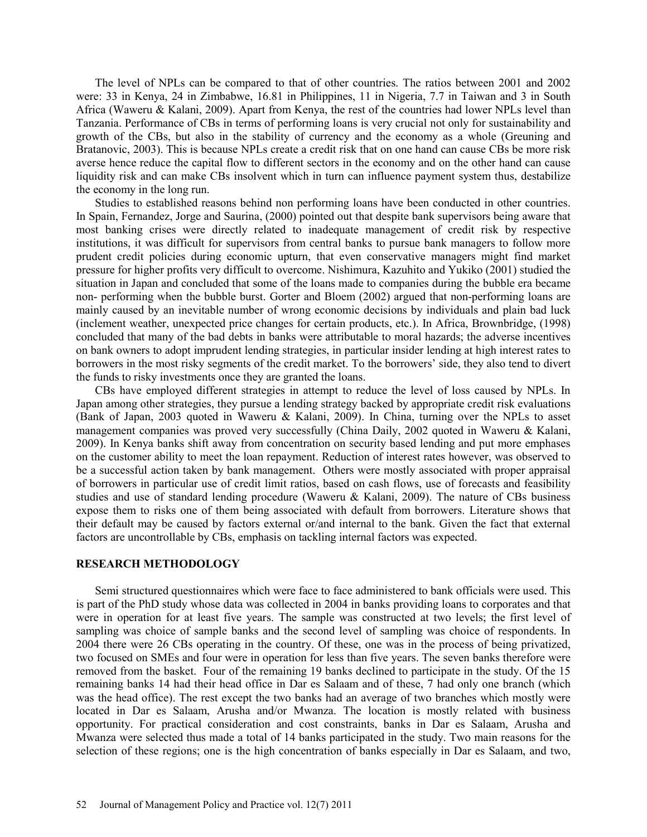The level of NPLs can be compared to that of other countries. The ratios between 2001 and 2002 were: 33 in Kenya, 24 in Zimbabwe, 16.81 in Philippines, 11 in Nigeria, 7.7 in Taiwan and 3 in South Africa (Waweru & Kalani, 2009). Apart from Kenya, the rest of the countries had lower NPLs level than Tanzania. Performance of CBs in terms of performing loans is very crucial not only for sustainability and growth of the CBs, but also in the stability of currency and the economy as a whole (Greuning and Bratanovic, 2003). This is because NPLs create a credit risk that on one hand can cause CBs be more risk averse hence reduce the capital flow to different sectors in the economy and on the other hand can cause liquidity risk and can make CBs insolvent which in turn can influence payment system thus, destabilize the economy in the long run.

Studies to established reasons behind non performing loans have been conducted in other countries. In Spain, Fernandez, Jorge and Saurina, (2000) pointed out that despite bank supervisors being aware that most banking crises were directly related to inadequate management of credit risk by respective institutions, it was difficult for supervisors from central banks to pursue bank managers to follow more prudent credit policies during economic upturn, that even conservative managers might find market pressure for higher profits very difficult to overcome. Nishimura, Kazuhito and Yukiko (2001) studied the situation in Japan and concluded that some of the loans made to companies during the bubble era became non- performing when the bubble burst. Gorter and Bloem (2002) argued that non-performing loans are mainly caused by an inevitable number of wrong economic decisions by individuals and plain bad luck (inclement weather, unexpected price changes for certain products, etc.). In Africa, Brownbridge, (1998) concluded that many of the bad debts in banks were attributable to moral hazards; the adverse incentives on bank owners to adopt imprudent lending strategies, in particular insider lending at high interest rates to borrowers in the most risky segments of the credit market. To the borrowers' side, they also tend to divert the funds to risky investments once they are granted the loans.

CBs have employed different strategies in attempt to reduce the level of loss caused by NPLs. In Japan among other strategies, they pursue a lending strategy backed by appropriate credit risk evaluations (Bank of Japan, 2003 quoted in Waweru & Kalani, 2009). In China, turning over the NPLs to asset management companies was proved very successfully (China Daily, 2002 quoted in Waweru & Kalani, 2009). In Kenya banks shift away from concentration on security based lending and put more emphases on the customer ability to meet the loan repayment. Reduction of interest rates however, was observed to be a successful action taken by bank management. Others were mostly associated with proper appraisal of borrowers in particular use of credit limit ratios, based on cash flows, use of forecasts and feasibility studies and use of standard lending procedure (Waweru & Kalani, 2009). The nature of CBs business expose them to risks one of them being associated with default from borrowers. Literature shows that their default may be caused by factors external or/and internal to the bank. Given the fact that external factors are uncontrollable by CBs, emphasis on tackling internal factors was expected.

#### **RESEARCH METHODOLOGY**

Semi structured questionnaires which were face to face administered to bank officials were used. This is part of the PhD study whose data was collected in 2004 in banks providing loans to corporates and that were in operation for at least five years. The sample was constructed at two levels; the first level of sampling was choice of sample banks and the second level of sampling was choice of respondents. In 2004 there were 26 CBs operating in the country. Of these, one was in the process of being privatized, two focused on SMEs and four were in operation for less than five years. The seven banks therefore were removed from the basket. Four of the remaining 19 banks declined to participate in the study. Of the 15 remaining banks 14 had their head office in Dar es Salaam and of these, 7 had only one branch (which was the head office). The rest except the two banks had an average of two branches which mostly were located in Dar es Salaam, Arusha and/or Mwanza. The location is mostly related with business opportunity. For practical consideration and cost constraints, banks in Dar es Salaam, Arusha and Mwanza were selected thus made a total of 14 banks participated in the study. Two main reasons for the selection of these regions; one is the high concentration of banks especially in Dar es Salaam, and two,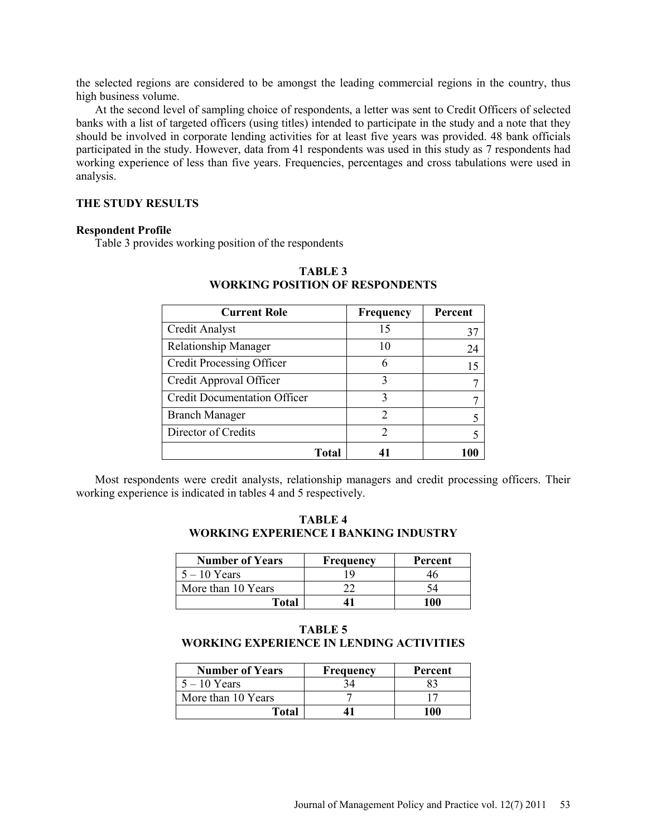the selected regions are considered to be amongst the leading commercial regions in the country, thus high business volume.

At the second level of sampling choice of respondents, a letter was sent to Credit Officers of selected banks with a list of targeted officers (using titles) intended to participate in the study and a note that they should be involved in corporate lending activities for at least five years was provided. 48 bank officials participated in the study. However, data from 41 respondents was used in this study as 7 respondents had working experience of less than five years. Frequencies, percentages and cross tabulations were used in analysis.

## **THE STUDY RESULTS**

#### **Respondent Profile**

Table 3 provides working position of the respondents

| <b>Current Role</b>                 | Frequency     | Percent |
|-------------------------------------|---------------|---------|
| Credit Analyst                      | 15            | 37      |
| <b>Relationship Manager</b>         |               | 24      |
| <b>Credit Processing Officer</b>    | 6             | 15      |
| Credit Approval Officer             | 3             |         |
| <b>Credit Documentation Officer</b> | 3             |         |
| <b>Branch Manager</b>               | $\mathcal{D}$ | 5       |
| Director of Credits                 | $\mathcal{D}$ | 5       |
| Total                               |               |         |

## **TABLE 3 WORKING POSITION OF RESPONDENTS**

Most respondents were credit analysts, relationship managers and credit processing officers. Their working experience is indicated in tables 4 and 5 respectively.

**TABLE 4 WORKING EXPERIENCE I BANKING INDUSTRY**

| <b>Number of Years</b> | <b>Frequency</b> | Percent |
|------------------------|------------------|---------|
| $5 - 10$ Years         |                  | Ίh      |
| More than 10 Years     |                  |         |
| Total                  |                  | 100     |

## **TABLE 5 WORKING EXPERIENCE IN LENDING ACTIVITIES**

| <b>Number of Years</b> | <b>Frequency</b> | Percent |
|------------------------|------------------|---------|
| $5 - 10$ Years         |                  |         |
| More than 10 Years     |                  |         |
| Total                  |                  | 100     |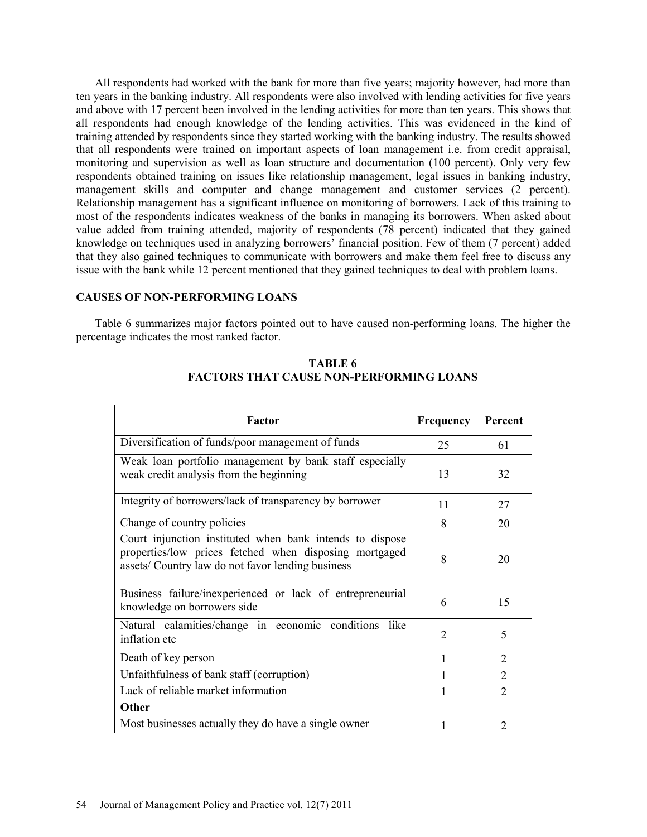All respondents had worked with the bank for more than five years; majority however, had more than ten years in the banking industry. All respondents were also involved with lending activities for five years and above with 17 percent been involved in the lending activities for more than ten years. This shows that all respondents had enough knowledge of the lending activities. This was evidenced in the kind of training attended by respondents since they started working with the banking industry. The results showed that all respondents were trained on important aspects of loan management i.e. from credit appraisal, monitoring and supervision as well as loan structure and documentation (100 percent). Only very few respondents obtained training on issues like relationship management, legal issues in banking industry, management skills and computer and change management and customer services (2 percent). Relationship management has a significant influence on monitoring of borrowers. Lack of this training to most of the respondents indicates weakness of the banks in managing its borrowers. When asked about value added from training attended, majority of respondents (78 percent) indicated that they gained knowledge on techniques used in analyzing borrowers' financial position. Few of them (7 percent) added that they also gained techniques to communicate with borrowers and make them feel free to discuss any issue with the bank while 12 percent mentioned that they gained techniques to deal with problem loans.

## **CAUSES OF NON-PERFORMING LOANS**

Table 6 summarizes major factors pointed out to have caused non-performing loans. The higher the percentage indicates the most ranked factor.

| Factor                                                                                                                                                                  | <b>Frequency</b> | Percent        |
|-------------------------------------------------------------------------------------------------------------------------------------------------------------------------|------------------|----------------|
| Diversification of funds/poor management of funds                                                                                                                       | 25               | 61             |
| Weak loan portfolio management by bank staff especially<br>weak credit analysis from the beginning                                                                      | 13               | 32             |
| Integrity of borrowers/lack of transparency by borrower                                                                                                                 | 11               | 27             |
| Change of country policies                                                                                                                                              | 8                | 20             |
| Court injunction instituted when bank intends to dispose<br>properties/low prices fetched when disposing mortgaged<br>assets/ Country law do not favor lending business | 8                | 20             |
| Business failure/inexperienced or lack of entrepreneurial<br>knowledge on borrowers side                                                                                | 6                | 15             |
| Natural calamities/change in economic conditions<br>like.<br>inflation etc                                                                                              | $\overline{2}$   | 5              |
| Death of key person                                                                                                                                                     | 1                | $\mathcal{D}$  |
| Unfaithfulness of bank staff (corruption)                                                                                                                               |                  | $\mathfrak{D}$ |
| Lack of reliable market information                                                                                                                                     |                  | $\mathfrak{D}$ |
| Other                                                                                                                                                                   |                  |                |
| Most businesses actually they do have a single owner                                                                                                                    |                  | $\mathfrak{D}$ |

**TABLE 6 FACTORS THAT CAUSE NON-PERFORMING LOANS**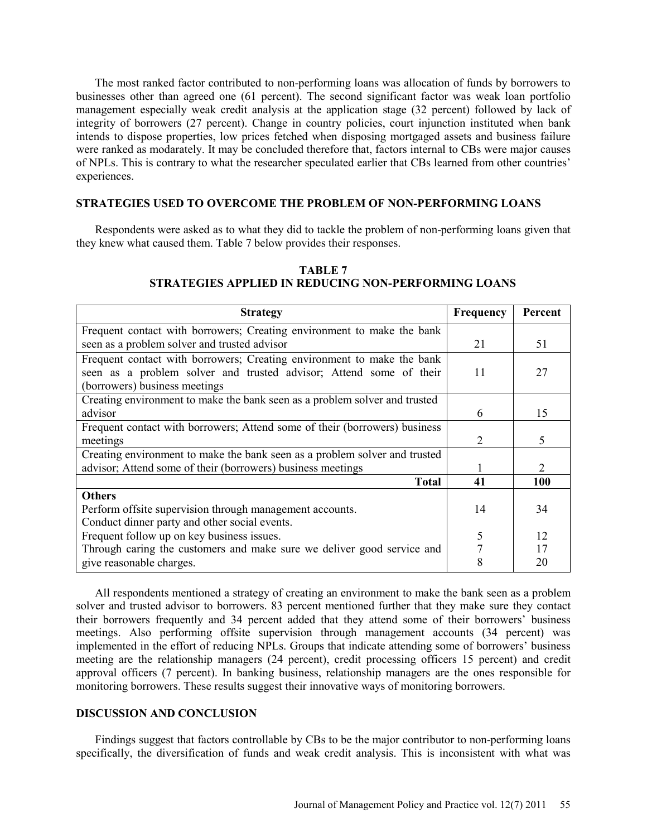The most ranked factor contributed to non-performing loans was allocation of funds by borrowers to businesses other than agreed one (61 percent). The second significant factor was weak loan portfolio management especially weak credit analysis at the application stage (32 percent) followed by lack of integrity of borrowers (27 percent). Change in country policies, court injunction instituted when bank intends to dispose properties, low prices fetched when disposing mortgaged assets and business failure were ranked as modarately. It may be concluded therefore that, factors internal to CBs were major causes of NPLs. This is contrary to what the researcher speculated earlier that CBs learned from other countries' experiences.

## **STRATEGIES USED TO OVERCOME THE PROBLEM OF NON-PERFORMING LOANS**

Respondents were asked as to what they did to tackle the problem of non-performing loans given that they knew what caused them. Table 7 below provides their responses.

| <b>Strategy</b>                                                            | Frequency | Percent |
|----------------------------------------------------------------------------|-----------|---------|
| Frequent contact with borrowers; Creating environment to make the bank     |           |         |
| seen as a problem solver and trusted advisor                               | 21        | 51      |
| Frequent contact with borrowers; Creating environment to make the bank     |           |         |
| seen as a problem solver and trusted advisor; Attend some of their         | 11        | 27      |
| (borrowers) business meetings                                              |           |         |
| Creating environment to make the bank seen as a problem solver and trusted |           |         |
| advisor                                                                    | 6         | 15      |
| Frequent contact with borrowers; Attend some of their (borrowers) business |           |         |
| meetings                                                                   | 2         | 5       |
| Creating environment to make the bank seen as a problem solver and trusted |           |         |
| advisor; Attend some of their (borrowers) business meetings                |           | 2       |
| <b>Total</b>                                                               | 41        | 100     |
| <b>Others</b>                                                              |           |         |
| Perform offsite supervision through management accounts.                   | 14        | 34      |
| Conduct dinner party and other social events.                              |           |         |
| Frequent follow up on key business issues.                                 | 5         | 12      |
| Through caring the customers and make sure we deliver good service and     |           | 17      |
| give reasonable charges.                                                   | 8         | 20      |

## **TABLE 7 STRATEGIES APPLIED IN REDUCING NON-PERFORMING LOANS**

All respondents mentioned a strategy of creating an environment to make the bank seen as a problem solver and trusted advisor to borrowers. 83 percent mentioned further that they make sure they contact their borrowers frequently and 34 percent added that they attend some of their borrowers' business meetings. Also performing offsite supervision through management accounts (34 percent) was implemented in the effort of reducing NPLs. Groups that indicate attending some of borrowers' business meeting are the relationship managers (24 percent), credit processing officers 15 percent) and credit approval officers (7 percent). In banking business, relationship managers are the ones responsible for monitoring borrowers. These results suggest their innovative ways of monitoring borrowers.

### **DISCUSSION AND CONCLUSION**

Findings suggest that factors controllable by CBs to be the major contributor to non-performing loans specifically, the diversification of funds and weak credit analysis. This is inconsistent with what was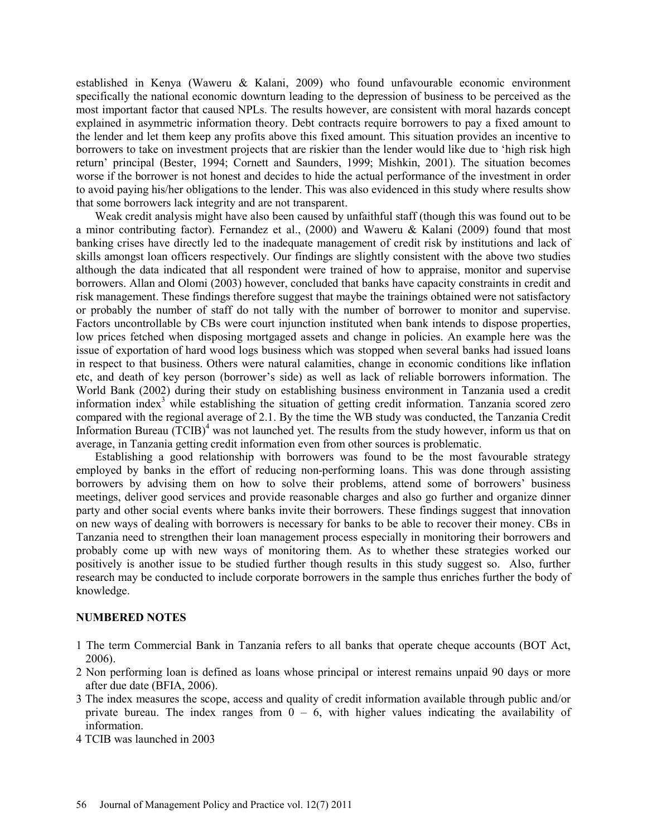established in Kenya (Waweru & Kalani, 2009) who found unfavourable economic environment specifically the national economic downturn leading to the depression of business to be perceived as the most important factor that caused NPLs. The results however, are consistent with moral hazards concept explained in asymmetric information theory. Debt contracts require borrowers to pay a fixed amount to the lender and let them keep any profits above this fixed amount. This situation provides an incentive to borrowers to take on investment projects that are riskier than the lender would like due to 'high risk high return' principal (Bester, 1994; Cornett and Saunders, 1999; Mishkin, 2001). The situation becomes worse if the borrower is not honest and decides to hide the actual performance of the investment in order to avoid paying his/her obligations to the lender. This was also evidenced in this study where results show that some borrowers lack integrity and are not transparent.

Weak credit analysis might have also been caused by unfaithful staff (though this was found out to be a minor contributing factor). Fernandez et al., (2000) and Waweru & Kalani (2009) found that most banking crises have directly led to the inadequate management of credit risk by institutions and lack of skills amongst loan officers respectively. Our findings are slightly consistent with the above two studies although the data indicated that all respondent were trained of how to appraise, monitor and supervise borrowers. Allan and Olomi (2003) however, concluded that banks have capacity constraints in credit and risk management. These findings therefore suggest that maybe the trainings obtained were not satisfactory or probably the number of staff do not tally with the number of borrower to monitor and supervise. Factors uncontrollable by CBs were court injunction instituted when bank intends to dispose properties, low prices fetched when disposing mortgaged assets and change in policies. An example here was the issue of exportation of hard wood logs business which was stopped when several banks had issued loans in respect to that business. Others were natural calamities, change in economic conditions like inflation etc, and death of key person (borrower's side) as well as lack of reliable borrowers information. The World Bank (2002) during their study on establishing business environment in Tanzania used a credit information index<sup>3</sup> while establishing the situation of getting credit information. Tanzania scored zero compared with the regional average of 2.1. By the time the WB study was conducted, the Tanzania Credit Information Bureau (TCIB)<sup>4</sup> was not launched yet. The results from the study however, inform us that on average, in Tanzania getting credit information even from other sources is problematic.

Establishing a good relationship with borrowers was found to be the most favourable strategy employed by banks in the effort of reducing non-performing loans. This was done through assisting borrowers by advising them on how to solve their problems, attend some of borrowers' business meetings, deliver good services and provide reasonable charges and also go further and organize dinner party and other social events where banks invite their borrowers. These findings suggest that innovation on new ways of dealing with borrowers is necessary for banks to be able to recover their money. CBs in Tanzania need to strengthen their loan management process especially in monitoring their borrowers and probably come up with new ways of monitoring them. As to whether these strategies worked our positively is another issue to be studied further though results in this study suggest so. Also, further research may be conducted to include corporate borrowers in the sample thus enriches further the body of knowledge.

#### **NUMBERED NOTES**

- 1 The term Commercial Bank in Tanzania refers to all banks that operate cheque accounts (BOT Act, 2006).
- 2 Non performing loan is defined as loans whose principal or interest remains unpaid 90 days or more after due date (BFIA, 2006).
- 3 The index measures the scope, access and quality of credit information available through public and/or private bureau. The index ranges from  $0 - 6$ , with higher values indicating the availability of information.
- 4 TCIB was launched in 2003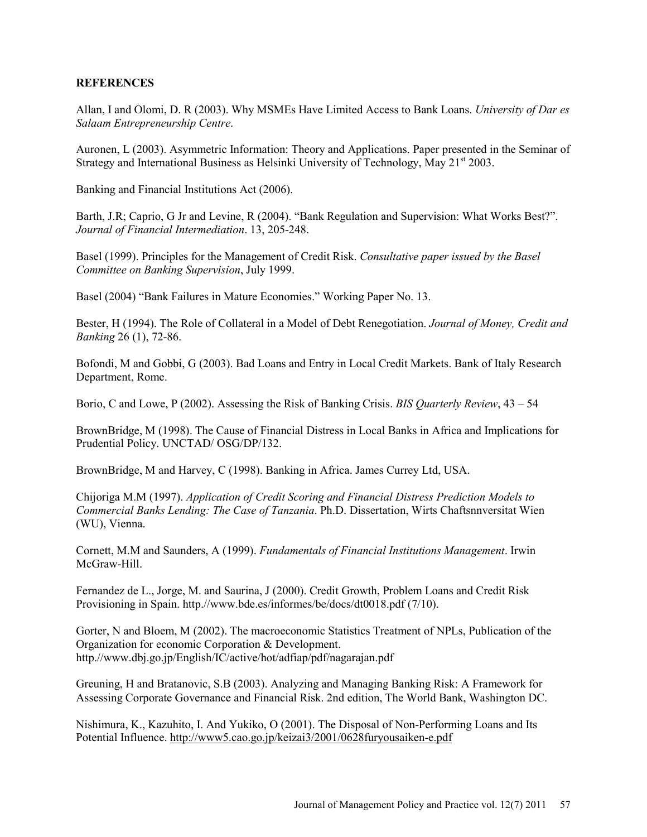## **REFERENCES**

Allan, I and Olomi, D. R (2003). Why MSMEs Have Limited Access to Bank Loans. *University of Dar es Salaam Entrepreneurship Centre*.

Auronen, L (2003). Asymmetric Information: Theory and Applications. Paper presented in the Seminar of Strategy and International Business as Helsinki University of Technology, May 21<sup>st</sup> 2003.

Banking and Financial Institutions Act (2006).

Barth, J.R; Caprio, G Jr and Levine, R (2004). "Bank Regulation and Supervision: What Works Best?". *Journal of Financial Intermediation*. 13, 205-248.

Basel (1999). Principles for the Management of Credit Risk. *Consultative paper issued by the Basel Committee on Banking Supervision*, July 1999.

Basel (2004) "Bank Failures in Mature Economies." Working Paper No. 13.

Bester, H (1994). The Role of Collateral in a Model of Debt Renegotiation. *Journal of Money, Credit and Banking* 26 (1), 72-86.

Bofondi, M and Gobbi, G (2003). Bad Loans and Entry in Local Credit Markets. Bank of Italy Research Department, Rome.

Borio, C and Lowe, P (2002). Assessing the Risk of Banking Crisis. *BIS Quarterly Review*, 43 – 54

BrownBridge, M (1998). The Cause of Financial Distress in Local Banks in Africa and Implications for Prudential Policy. UNCTAD/ OSG/DP/132.

BrownBridge, M and Harvey, C (1998). Banking in Africa. James Currey Ltd, USA.

Chijoriga M.M (1997). *Application of Credit Scoring and Financial Distress Prediction Models to Commercial Banks Lending: The Case of Tanzania*. Ph.D. Dissertation, Wirts Chaftsnnversitat Wien (WU), Vienna.

Cornett, M.M and Saunders, A (1999). *Fundamentals of Financial Institutions Management*. Irwin McGraw-Hill.

Fernandez de L., Jorge, M. and Saurina, J (2000). Credit Growth, Problem Loans and Credit Risk Provisioning in Spain. http.//www.bde.es/informes/be/docs/dt0018.pdf (7/10).

Gorter, N and Bloem, M (2002). The macroeconomic Statistics Treatment of NPLs, Publication of the Organization for economic Corporation & Development. http.//www.dbj.go.jp/English/IC/active/hot/adfiap/pdf/nagarajan.pdf

Greuning, H and Bratanovic, S.B (2003). Analyzing and Managing Banking Risk: A Framework for Assessing Corporate Governance and Financial Risk. 2nd edition, The World Bank, Washington DC.

Nishimura, K., Kazuhito, I. And Yukiko, O (2001). The Disposal of Non-Performing Loans and Its Potential Influence. http://www5.cao.go.jp/keizai3/2001/0628furyousaiken-e.pdf